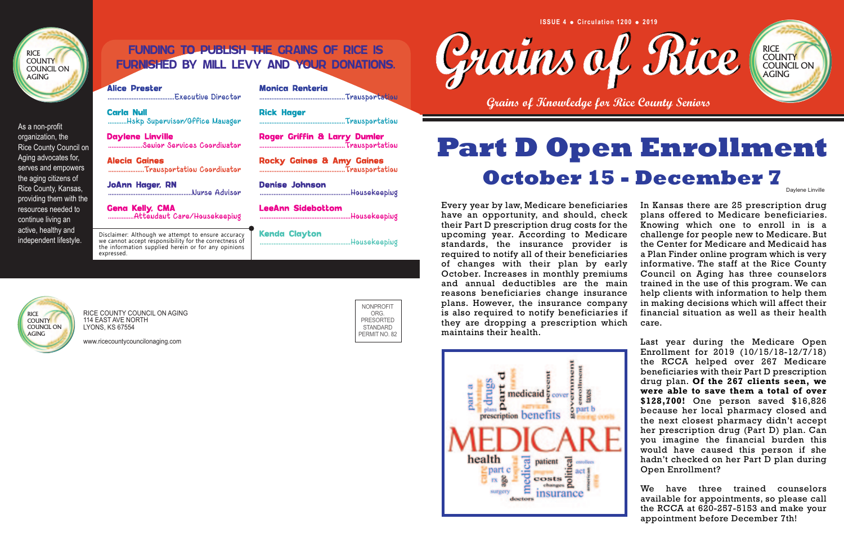Every year by law, Medicare beneficiaries have an opportunity, and should, check their Part D prescription drug costs for the upcoming year. According to Medicare standards, the insurance provider is required to notify all of their beneficiaries of changes with their plan by early October. Increases in monthly premiums and annual deductibles are the main reasons beneficiaries change insurance plans. However, the insurance company is also required to notify beneficiaries if they are dropping a prescription which maintains their health. In Kansas there are 25 prescription drug plans offered to Medicare beneficiaries. Knowing which one to enroll in is a challenge for people new to Medicare. But the Center for Medicare and Medicaid has a Plan Finder online program which is very informative. The staff at the Rice County Council on Aging has three counselors trained in the use of this program. We can help clients with information to help them in making decisions which will affect their financial situation as well as their health care.



**RICE COUNTY** COUNCIL ON

Carla Null **Carla Rick Hager** ...........Hskp Supervisor/Office Manager ..................................................Transportation

Daylene Linville **Roger Griffin & Larry Dumler** ....................Senior Services Coordinator ..................................................Transportation

Alecia Gaines **Rocky Gaines & Amy Gaines** 

JoAnn Hager, RN Denise Johnson<br>
Murse Advisor Communication

Last year during the Medicare Open Enrollment for 2019 (10/15/18-12/7/18) the RCCA helped over 267 Medicare beneficiaries with their Part D prescription drug plan. **Of the 267 clients seen, we were able to save them a total of over \$128,700!** One person saved \$16,826 because her local pharmacy closed and the next closest pharmacy didn't accept her prescription drug (Part D) plan. Can you imagine the financial burden this would have caused this person if she hadn't checked on her Part D plan during Open Enrollment?

Gena Kelly, CMA and LeeAnn Sidebottom ...............Attendant Care/Housekeeping .....................................................Housekeeping

> We have three trained counselors available for appointments, so please call the RCCA at 620-257-5153 and make your appointment before December 7th!

claimer: Although we attempt to ensure accuracy | **Kenda Clayton** .annot accept responsibility for the correctness of stateman management accept response  ${\sf Heavy}$ Disclaimer: Although we attempt to ensure accuracy we cannot accept responsibility for the correctness of the information supplied herein or for any opinions expressed.

AGING

**Grains of Knowledge for Rice County Seniors**

## FUNDING TO PUBLISH THE GRAINS OF RICE IS FURNISHED BY MILL LEVY AND YOUR DONATIONS.

**Alice Prester** 

.......................................Executive Director ..................................................Transportation

.....................Transportation Coordinator ..................................................Transportation

..Housekeeping



As a non-profit organization, the Rice County Council on Aging advocates for, serves and empowers the aging citizens of Rice County, Kansas, providing them with the resources needed to continue living an active, healthy and independent lifestyle.

> RICE COUNTY COUNCIL ON AGING 114 EAST AVE NORTH LYONS, KS 67554

www.ricecountycouncilonaging.com



NONPROFIT ORG. PRESORTED STANDARD PERMIT NO. 82





Daylene Linville

# **Part D Open Enrollment October 15 - December 7**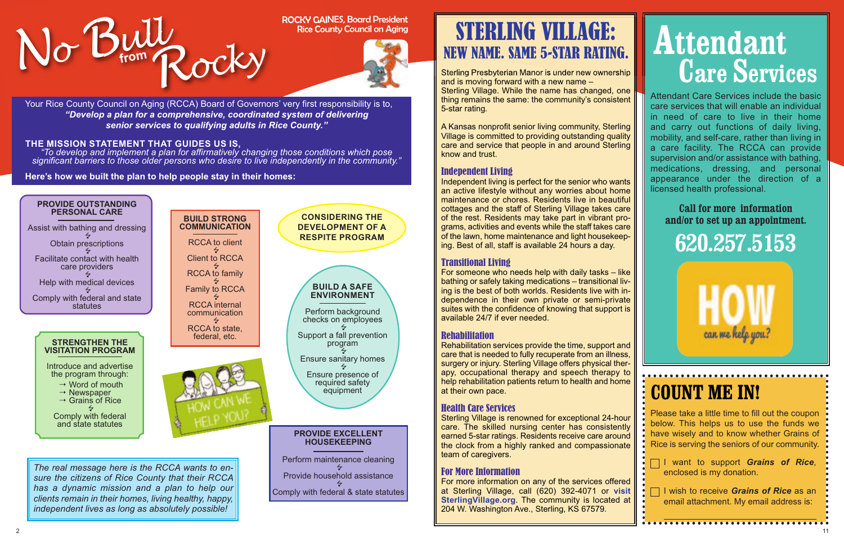

Rice County Council on Aging



Attendant Care Services include the basic care services that will enable an individual in need of care to live in their home and carry out functions of daily living, mobility, and self-care, rather than living in a care facility. The RCCA can provide supervision and/or assistance with bathing, medications, dressing, and personal appearance under the direction of a licensed health professional.

**I** want to support *Grains* of Rice, enclosed is my donation.

**I** I wish to receive *Grains of Rice* as an email attachment. My email address is:

### **Call for more information and/or to set up an appointment.**

**620.257.5153**

can me help you?

# **Attendant Care Services**

## **COUNT ME IN!**

Please take a little time to fill out the coupon below. This helps us to use the funds we have wisely and to know whether Grains of Rice is serving the seniors of our community.

Sterling Presbyterian Manor is under new ownership and is moving forward with a new name – Sterling Village. While the name has changed, one thing remains the same: the community's consistent 5-star rating.

A Kansas nonprofit senior living community, Sterling Village is committed to providing outstanding quality care and service that people in and around Sterling know and trust.

For more information on any of the services offered at Sterling Village, call (620) 392-4071 or **visit SterlingVillage.org**. The community is located at 204 W. Washington Ave., Sterling, KS 67579.

### Independent Living

Independent living is perfect for the senior who wants an active lifestyle without any worries about home maintenance or chores. Residents live in beautiful cottages and the staff of Sterling Village takes care of the rest. Residents may take part in vibrant programs, activities and events while the staff takes care of the lawn, home maintenance and light housekeeping. Best of all, staff is available 24 hours a day.

### Transitional Living

For someone who needs help with daily tasks – like bathing or safely taking medications – transitional living is the best of both worlds. Residents live with independence in their own private or semi-private suites with the confidence of knowing that support is available 24/7 if ever needed.

### Rehabilitation

Rehabilitation services provide the time, support and care that is needed to fully recuperate from an illness, surgery or injury. Sterling Village offers physical therapy, occupational therapy and speech therapy to help rehabilitation patients return to health and home at their own pace.

### Health Care Services

Sterling Village is renowned for exceptional 24-hour care. The skilled nursing center has consistently earned 5-star ratings. Residents receive care around the clock from a highly ranked and compassionate team of caregivers.

### For More Information

## STERLING VILLAGE: NEW NAME. SAME 5-STAR RATING.

Your Rice County Council on Aging (RCCA) Board of Governors' very first responsibility is to, *"Develop a plan for a comprehensive, coordinated system of delivering senior services to qualifying adults in Rice County."* 

### **THE MISSION STATEMENT THAT GUIDES US IS,**

*"To develop and implement a plan for affirmatively changing those conditions which pose significant barriers to those older persons who desire to live independently in the community."* 

**Here's how we built the plan to help people stay in their homes:** 

Perform maintenance cleaning .<br>ح Provide household assistance ..<br>∡ Comply with federal & state statutes



*The real message here is the RCCA wants to ensure the citizens of Rice County that their RCCA has a dynamic mission and a plan to help our clients remain in their homes, living healthy, happy, independent lives as long as absolutely possible!*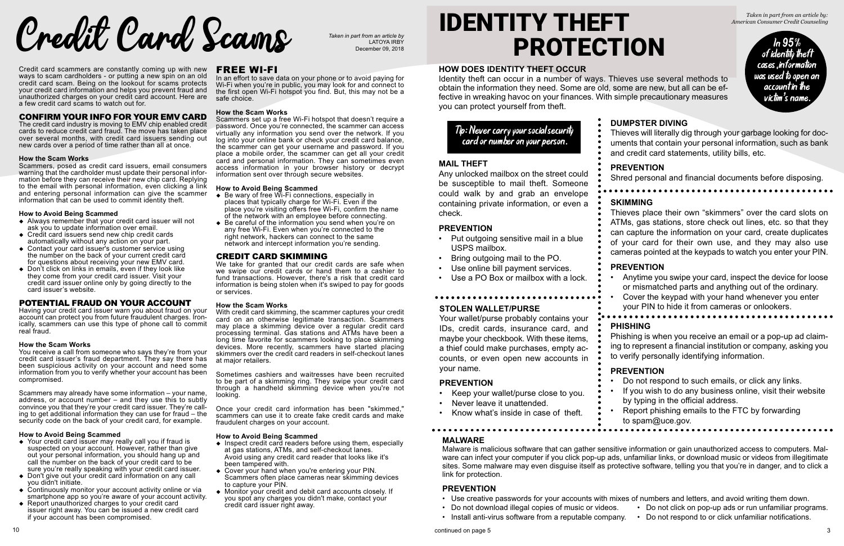### Credit card scammers are constantly coming up with new ways to scam cardholders - or putting a new spin on an old credit card scam. Being on the lookout for scams protects your credit card information and helps you prevent fraud and unauthorized charges on your credit card account. Here are a few credit card scams to watch out for.

The credit card industry is moving to EMV chip enabled credit cards to reduce credit card fraud. The move has taken place over several months, with credit card issuers sending out new cards over a period of time rather than all at once.

### **How the Scam Works**

- $\triangleleft$  Always remember that your credit card issuer will not ask you to update information over email.
- $\triangle$  Credit card issuers send new chip credit cards automatically without any action on your part.
- ◆ Contact your card issuer's customer service using the number on the back of your current credit card for questions about receiving your new EMV card.
- $\bullet$  Don't click on links in emails, even if they look like they come from your credit card issuer. Visit your credit card issuer online only by going directly to the card issuer's website.

Scammers, posed as credit card issuers, email consumers warning that the cardholder must update their personal information before they can receive their new chip card. Replying to the email with personal information, even clicking a link and entering personal information can give the scammer information that can be used to commit identity theft.

Having your credit card issuer warn you about fraud on your account can protect you from future fraudulent charges. Ironically, scammers can use this type of phone call to commit real fraud.

### **How to Avoid Being Scammed**

- $\rightarrow$  Your credit card issuer may really call you if fraud is suspected on your account. However, rather than give out your personal information, you should hang up and call the number on the back of your credit card to be sure you're really speaking with your credit card issuer.
- Don't give out your credit card information on any call you didn't initiate.
- $\bullet$  Continuously monitor your account activity online or via smartphone app so you're aware of your account activity.
- $\triangle$  Report unauthorized charges to your credit card issuer right away. You can be issued a new credit card if your account has been compromised.

I I I I I I I I I I I I I I I Alta on your phone or to avoid paying for Wi-Fi when you're in public, you may look for and connect to the first open Wi-Fi hotspot you find. But, this may not be a safe choice.

Scammers set up a free Wi-Fi hotspot that doesn't require a password. Once you're connected, the scammer can access virtually any information you send over the network. If you log into your online bank or check your credit card balance, the scammer can get your username and password. If you place a mobile order, the scammer can get all your credit card and personal information. They can sometimes even access information in your browser history or decrypt information sent over through secure websites.

### **How the Scam Works**

You receive a call from someone who says they're from your credit card issuer's fraud department. They say there has been suspicious activity on your account and need some information from you to verify whether your account has been compromised.

- Be wary of free Wi-Fi connections, especially in places that typically charge for Wi-Fi. Even if the place you're visiting offers free Wi-Fi, confirm the name of the network with an employee before connecting.
- $\bullet$  Be careful of the information you send when you're on any free Wi-Fi. Even when you're connected to the right network, hackers can connect to the same network and intercept information you're sending.

### **CREDIT CARD SKIMMING**

Scammers may already have some information – your name, address, or account number – and they use this to subtly convince you that they're your credit card issuer. They're calling to get additional information they can use for fraud – the security code on the back of your credit card, for example.

We take for granted that our credit cards are safe when we swipe our credit cards or hand them to a cashier to fund transactions. However, there's a risk that credit card information is being stolen when it's swiped to pay for goods or services.

### **How to Avoid Being Scammed**

- $\triangle$  Inspect credit card readers before using them, especially at gas stations, ATMs, and self-checkout lanes. Avoid using any credit card reader that looks like it's been tampered with.
- Cover your hand when you're entering your PIN. Scammers often place cameras near skimming devices to capture your PIN.
- $\bullet$  Monitor your credit and debit card accounts closely. If you spot any charges you didn't make, contact your credit card issuer right away.

### **How the Scam Works**

- Put outgoing sensitive mail in a blue USPS mailbox.
	- Bring outgoing mail to the PO.
- Use online bill payment services.
- Use a PO Box or mailbox with a lock.

- Keep your wallet/purse close to you.
- Never leave it unattended.

### **How to Avoid Being Scammed**

Malware is malicious software that can gather sensitive information or gain unauthorized access to computers. Malware can infect your computer if you click pop-up ads, unfamiliar links, or download music or videos from illegitimate sites. Some malware may even disguise itself as protective software, telling you that you're in danger, and to click a link for protection.

### **How the Scam Works**

With credit card skimming, the scammer captures your credit card on an otherwise legitimate transaction. Scammers may place a skimming device over a regular credit card processing terminal. Gas stations and ATMs have been a long time favorite for scammers looking to place skimming devices. More recently, scammers have started placing skimmers over the credit card readers in self-checkout lanes at major retailers.

Sometimes cashiers and waitresses have been recruited to be part of a skimming ring. They swipe your credit card through a handheld skimming device when you're not looking.

Once your credit card information has been "skimmed," scammers can use it to create fake credit cards and make fraudulent charges on your account.

### **How to Avoid Being Scammed**

**Credit Card ScamB Taken in part from an article by** 

LATOYA IRBY December 09, 2018

# IDENTITY THEFT PROTECTION

*Taken in part from an article by: American Consumer Credit Counseling*



### **HOW DOES IDENTITY THEFT OCCUR**

Identity theft can occur in a number of ways. Thieves use several methods to obtain the information they need. Some are old, some are new, but all can be effective in wreaking havoc on your finances. With simple precautionary measures you can protect yourself from theft.



### **DUMPSTER DIVING**

Thieves will literally dig through your garbage looking for documents that contain your personal information, such as bank and credit card statements, utility bills, etc.

### **PREVENTION**

Shred personal and financial documents before disposing.

### **MAIL THEFT**

Any unlocked mailbox on the street could be susceptible to mail theft. Someone could walk by and grab an envelope containing private information, or even a check.

### **PREVENTION**

Tip: Never carry your social security card or number on your person.

### **STOLEN WALLET/PURSE**

Your wallet/purse probably contains your IDs, credit cards, insurance card, and maybe your checkbook. With these items, a thief could make purchases, empty accounts, or even open new accounts in your name.

### **PREVENTION**

• Know what's inside in case of theft.

### **SKIMMING**

Thieves place their own "skimmers" over the card slots on ATMs, gas stations, store check out lines, etc. so that they can capture the information on your card, create duplicates of your card for their own use, and they may also use cameras pointed at the keypads to watch you enter your PIN.

### **PREVENTION**

- Anytime you swipe your card, inspect the device for loose or mismatched parts and anything out of the ordinary.
	- Cover the keypad with your hand whenever you enter
	- your PIN to hide it from cameras or onlookers.

### **PHISHING**

Phishing is when you receive an email or a pop-up ad claiming to represent a financial institution or company, asking you to verify personally identifying information.

### **PREVENTION**

- Do not respond to such emails, or click any links.
- If you wish to do any business online, visit their website by typing in the official address.
- Report phishing emails to the FTC by forwarding
- to spam@uce.gov.
- 

### **MALWARE**

### **PREVENTION**

- 
- 
- Install anti-virus software from a reputable company. Do not respond to or click unfamiliar notifications.

• Use creative passwords for your accounts with mixes of numbers and letters, and avoid writing them down.

• Do not download illegal copies of music or videos. • Do not click on pop-up ads or run unfamiliar programs.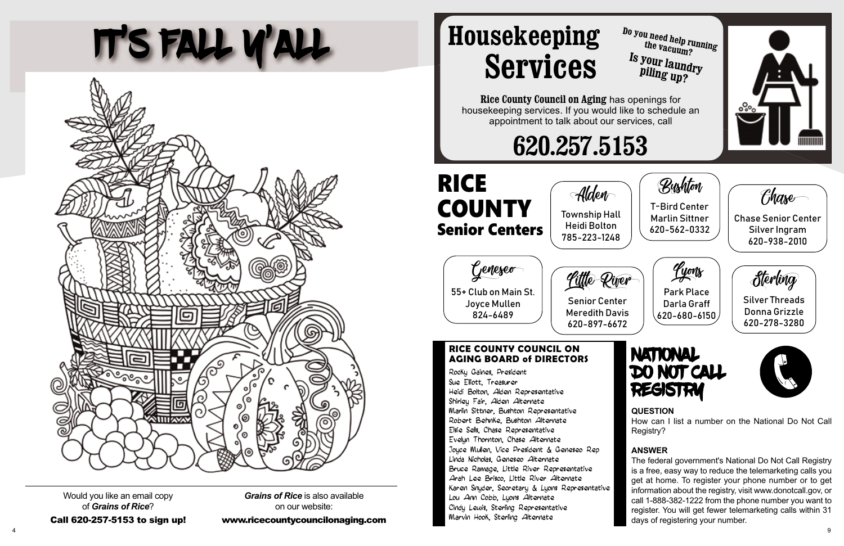# IT'S FALL Y'ALL



Would you like an email copy of *Grains of Rice*?

*Grains of Rice* is also available on our website:

 $\mathcal{L}$  620-257-5153 to sign up to sign up to sign up to sign up to sign up to sign up to sign up to sign up to sign up to sign up to sign up to sign up to sign up to sign up to sign up to sign up to sign up to sign up t

Alden

Heidi Bolton

## RICE **COUNTY** Senior Centers

Geneseo 55+ Club on Main St.

Joyce Mullen 824-6489

### **RICE COUNTY COUNCIL ON AGING BOARD of DIRECTORS**

Rocky Gaines, President Sue Elliott, Treasurer Heidi Bolton, Alden Representative Shirley Fair, Alden Alternate Marlin Sittner, Bushton Representative Robert Behnke, Bushton Alternate Elsie Sells, Chase Representative Evelyn Thornton, Chase Alternate Joyce Mullen, Vice President & Geneseo Rep Linda Nicholas, Geneseo Alternate Bruce Ramage, Little River Representative Arah Lee Brisco, Little River Alternate Karen Snyder, Secretary & Lyons Representative Lou Ann Cobb, Lyons Alternate Cindy Lewis, Sterling Representative Marvin Hook, Sterling Alternate

www.ricecounty.com/county-y-com



**Rice County Council on Aging** has openings for housekeeping services. If you would like to schedule an appointment to talk about our services, call

# **620.257.5153**

**Housekeeping Services**

### **QUESTION**

How can I list a number on the National Do Not Call Registry?

### **ANSWER**

The federal government's National Do Not Call Registry is a free, easy way to reduce the telemarketing calls you get at home. To register your phone number or to get information about the registry, visit www.donotcall.gov, or call 1-888-382-1222 from the phone number you want to register. You will get fewer telemarketing calls within 31 days of registering your number.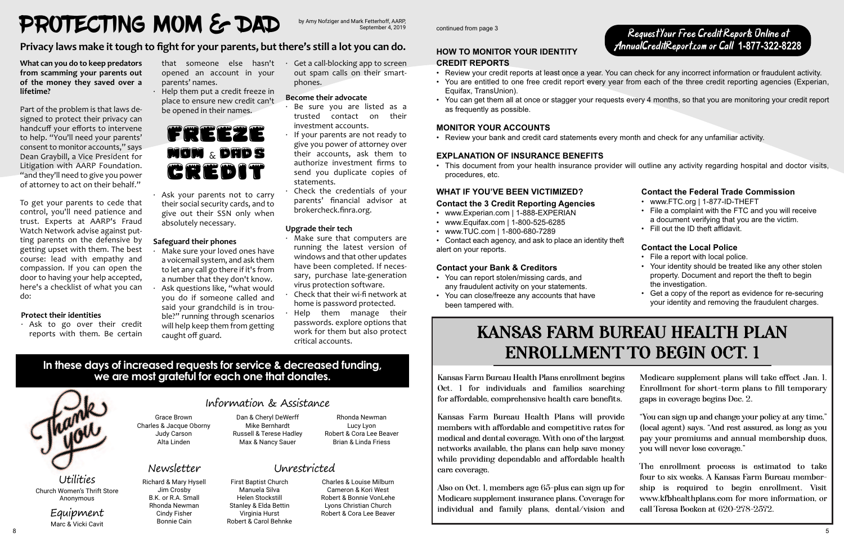Kansas Farm Bureau Health Plans enrollment begins Oct. 1 for individuals and families searching for affordable, comprehensive health care benefits.

Kansas Farm Bureau Health Plans will provid members with affordable and competitive rates for medical and dental coverage. With one of the larges networks available, the plans can help save mone while providing dependable and affordable healt care coverage.

Also on Oct. 1, members age 65-plus can sign up for Medicare supplement insurance plans. Coverage fo individual and family plans, dental/vision and



| IS<br>g<br>i.           | Medicare supplement plans will take effect Jan. 1.<br>Enrollment for short-term plans to fill temporary<br>gaps in coverage begins Dec. 2. |
|-------------------------|--------------------------------------------------------------------------------------------------------------------------------------------|
| $\overline{\mathbf{e}}$ | "You can sign up and change your policy at any time,"                                                                                      |
| )r                      | (local agent) says. "And rest assured, as long as you                                                                                      |
| st.                     | pay your premiums and annual membership dues,                                                                                              |
| y                       | you will never lose coverage."                                                                                                             |
| h                       | The enrollment process is estimated to take                                                                                                |
|                         | four to six weeks. A Kansas Farm Bureau member-                                                                                            |
| )r                      | ship is required to begin enrollment. Visit                                                                                                |
| )r                      | www.kfbhealthplans.com for more information, or                                                                                            |
| d                       | call Teresa Boeken at 620-278-2572.                                                                                                        |

## Information & Assistance

### Newsletter

### Grace Brown Charles & Jacque Oborny Judy Carson Alta Linden

Dan & Cheryl DeWerff Mike Bernhardt Russell & Terese Hadley Max & Nancy Sauer

Rhonda Newman Lucy Lyon Robert & Cora Lee Beaver Brian & Linda Friess

Help them put a credit freeze in place to ensure new credit can't be opened in their names.

Ask your parents not to carry their social security cards, and to give out their SSN only when absolutely necessary.

Richard & Mary Hysell Jim Crosby B.K. or R.A. Small Rhonda Newman Cindy Fisher Bonnie Cain

## Unrestricted

Make sure your loved ones have a voicemail system, and ask them to let any call go there if it's from a number that they don't know. Ask questions like, "what would you do if someone called and

> First Baptist Church Manuela Silva Helen Stockstill Stanley & Elda Bettin Virginia Hurst Robert & Carol Behnke

Get a call-blocking app to screen out spam calls on their smart‐ phones.

> Charles & Louise Milburn Cameron & Kori West Robert & Bonnie VonLehe Lyons Christian Church Robert & Cora Lee Beaver

**What can you do to keep predators from scamming your parents out of the money they saved over a lifetime?** 

- Be sure you are listed as a trusted contact on their investment accounts.
- If your parents are not ready to give you power of attorney over their accounts, ask them to authorize investment firms to send you duplicate copies of statements.
- Check the credentials of your parents' financial advisor at brokercheck.finra.org.

Part of the problem is that laws de‐ signed to protect their privacy can handcuff your efforts to intervene to help. "You'll need your parents' consent to monitor accounts," says Dean Graybill, a Vice President for Litigation with AARP Foundation. "and they'll need to give you power of attorney to act on their behalf."

> **Utilities** Church Women's Thrift Store Anonymous

To get your parents to cede that control, you'll need patience and trust. Experts at AARP's Fraud Watch Network advise against put‐ ting parents on the defensive by getting upset with them. The best course: lead with empathy and compassion. If you can open the door to having your help accepted, here's a checklist of what you can do:

### **Protect their identities**

· Ask to go over their credit reports with them. Be certain

that someone else hasn't opened an account in your parents' names.

### **Safeguard their phones**

said your grandchild is in trou‐ ble?" running through scenarios will help keep them from getting caught off guard.

### **Become their advocate**

### **Upgrade their tech**

- · Make sure that computers are running the latest version of windows and that other updates have been completed. If neces‐ sary, purchase late‐generation virus protection software.
- Check that their wi-fi network at home is password protected.
- Help them manage their passwords. explore options that work for them but also protect critical accounts.

### **In these days of increased requests for service & decreased funding, we are most grateful for each one that donates.**



# PROTECTING MOM & DAD

### **Privacy laws make it tough to fight for your parents, but there's still a lot you can do.**

FREEZE mOM & DAD'S CREDIT

Equipment Marc & Vicki Cavit

### **HOW TO MONITOR YOUR IDENTITY CREDIT REPORTS**

• Review your credit reports at least once a year. You can check for any incorrect information or fraudulent activity. • You are entitled to one free credit report every year from each of the three credit reporting agencies (Experian,

• You can get them all at once or stagger your requests every 4 months, so that you are monitoring your credit report

- 
- Equifax, TransUnion).
- as frequently as possible.

### **MONITOR YOUR ACCOUNTS**

• Review your bank and credit card statements every month and check for any unfamiliar activity.

### **EXPLANATION OF INSURANCE BENEFITS**

• This document from your health insurance provider will outline any activity regarding hospital and doctor visits,

procedures, etc.

### **WHAT IF YOU'VE BEEN VICTIMIZED?**

### **Contact the 3 Credit Reporting Agencies**

- www.Experian.com | 1-888-EXPERIAN
- www.Equifax.com | 1-800-525-6285
- www.TUC.com | 1-800-680-7289
- Contact each agency, and ask to place an identity theft alert on your reports.

### **Contact your Bank & Creditors**

- You can report stolen/missing cards, and any fraudulent activity on your statements.
- You can close/freeze any accounts that have been tampered with.

## KANSAS FARM BUREAU HEALTH PLAN ENROLLMENT TO BEGIN OCT. 1

### **Contact the Federal Trade Commission**

- www.FTC.org | 1-877-ID-THEFT
- File a complaint with the FTC and you will receive a document verifying that you are the victim.
- Fill out the ID theft affidavit.

### **Contact the Local Police**

- File a report with local police.
- Your identity should be treated like any other stolen property. Document and report the theft to begin the investigation.
- Get a copy of the report as evidence for re-securing your identity and removing the fraudulent charges.

Request Your Free Credit Reports Online at AnnualCreditReport.com or Call **1-877-322-8228**